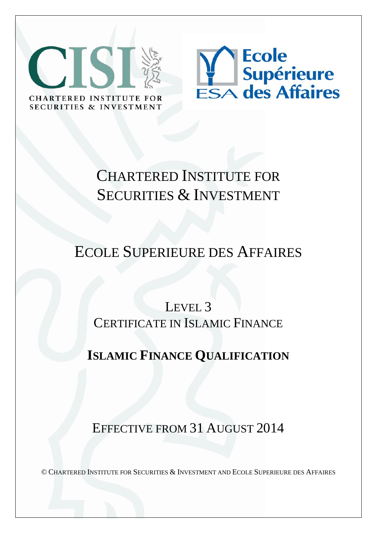



# CHARTERED INSTITUTE FOR SECURITIES & INVESTMENT

## ECOLE SUPERIEURE DES AFFAIRES

## LEVEL 3 CERTIFICATE IN ISLAMIC FINANCE

### **ISLAMIC FINANCE QUALIFICATION**

EFFECTIVE FROM 31 AUGUST 2014

© CHARTERED INSTITUTE FOR SECURITIES & INVESTMENT AND ECOLE SUPERIEURE DES AFFAIRES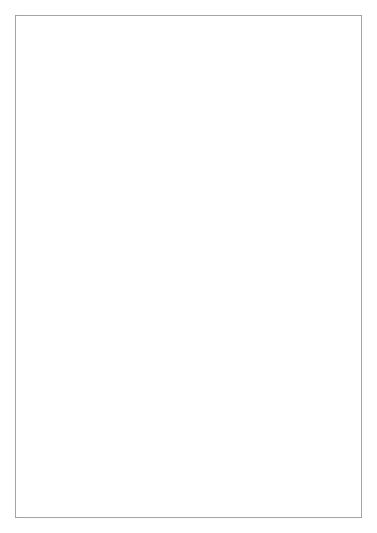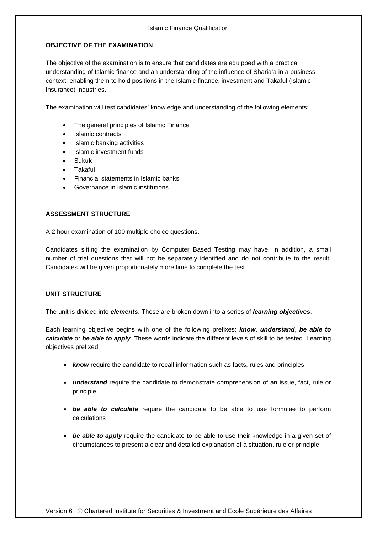#### **OBJECTIVE OF THE EXAMINATION**

The objective of the examination is to ensure that candidates are equipped with a practical understanding of Islamic finance and an understanding of the influence of Sharia'a in a business context; enabling them to hold positions in the Islamic finance, investment and Takaful (Islamic Insurance) industries.

The examination will test candidates' knowledge and understanding of the following elements:

- The general principles of Islamic Finance
- Islamic contracts
- Islamic banking activities
- Islamic investment funds
- Sukuk
- Takaful
- Financial statements in Islamic banks
- Governance in Islamic institutions

#### **ASSESSMENT STRUCTURE**

A 2 hour examination of 100 multiple choice questions.

Candidates sitting the examination by Computer Based Testing may have, in addition, a small number of trial questions that will not be separately identified and do not contribute to the result. Candidates will be given proportionately more time to complete the test.

#### **UNIT STRUCTURE**

The unit is divided into *elements*. These are broken down into a series of *learning objectives*.

Each learning objective begins with one of the following prefixes: *know*, *understand*, *be able to calculate* or *be able to apply*. These words indicate the different levels of skill to be tested. Learning objectives prefixed:

- *know* require the candidate to recall information such as facts, rules and principles
- *understand* require the candidate to demonstrate comprehension of an issue, fact, rule or principle
- *be able to calculate* require the candidate to be able to use formulae to perform calculations
- **be able to apply** require the candidate to be able to use their knowledge in a given set of circumstances to present a clear and detailed explanation of a situation, rule or principle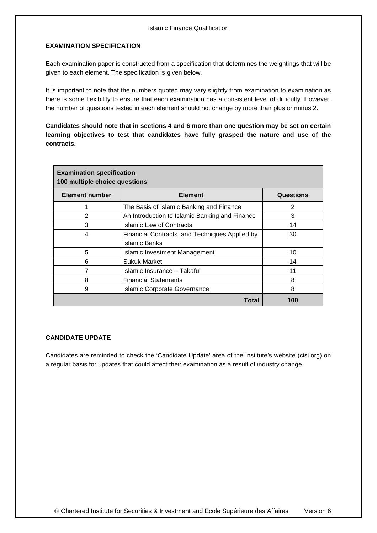#### **EXAMINATION SPECIFICATION**

Each examination paper is constructed from a specification that determines the weightings that will be given to each element. The specification is given below.

It is important to note that the numbers quoted may vary slightly from examination to examination as there is some flexibility to ensure that each examination has a consistent level of difficulty. However, the number of questions tested in each element should not change by more than plus or minus 2.

**Candidates should note that in sections 4 and 6 more than one question may be set on certain learning objectives to test that candidates have fully grasped the nature and use of the contracts.**

| <b>Examination specification</b><br>100 multiple choice questions |                                                |           |
|-------------------------------------------------------------------|------------------------------------------------|-----------|
| Element number                                                    | <b>Element</b>                                 | Questions |
|                                                                   | The Basis of Islamic Banking and Finance       | 2         |
| $\mathcal{P}$                                                     | An Introduction to Islamic Banking and Finance | 3         |
| 3                                                                 | Islamic Law of Contracts                       | 14        |
| 4                                                                 | Financial Contracts and Techniques Applied by  | 30        |
|                                                                   | Islamic Banks                                  |           |
| 5                                                                 | <b>Islamic Investment Management</b>           | 10        |
| 6                                                                 | <b>Sukuk Market</b>                            | 14        |
| 7                                                                 | Islamic Insurance – Takaful                    | 11        |
| 8                                                                 | <b>Financial Statements</b>                    | 8         |
| 9                                                                 | <b>Islamic Corporate Governance</b>            | 8         |
|                                                                   | Total                                          | 100       |

#### **CANDIDATE UPDATE**

Candidates are reminded to check the 'Candidate Update' area of the Institute's website (cisi.org) on a regular basis for updates that could affect their examination as a result of industry change.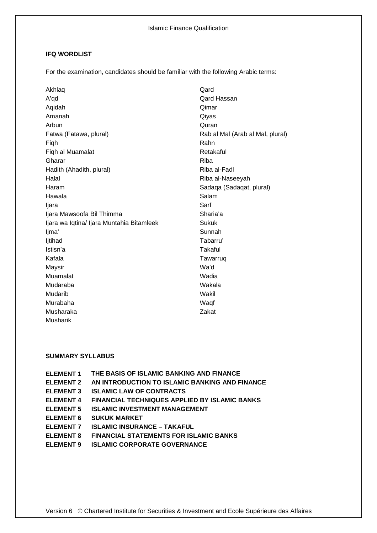#### **IFQ WORDLIST**

For the examination, candidates should be familiar with the following Arabic terms:

Akhlaq A'qd Aqidah Amanah Arbun Fatwa (Fatawa, plural) Fiqh Fiqh al Muamalat Gharar Hadith (Ahadith, plural) Halal Haram Hawala liara Ijara Mawsoofa Bil Thimma Ijara wa Iqtina/ Ijara Muntahia Bitamleek Ijma' Ijtihad Istisn'a Kafala Maysir Muamalat Mudaraba Mudarib Murabaha Musharaka Musharik

Qard Qard Hassan Qimar Qiyas Quran Rab al Mal (Arab al Mal, plural) Rahn Retakaful Riba Riba al-Fadl Riba al-Naseeyah Sadaqa (Sadaqat, plural) Salam Sarf Sharia'a Sukuk Sunnah Tabarru' Takaful Tawarruq Wa'd Wadia Wakala Wakil Waqf Zakat

#### **SUMMARY SYLLABUS**

- **ELEMENT 1 THE BASIS OF ISLAMIC [BANKING AND FINANCE](#page-5-0)**
- **ELEMENT 2 [AN INTRODUCTION TO ISLAMIC BANKING AND FINANCE](#page-5-1)**
- **ELEMENT 3 [ISLAMIC LAW OF CONTRACTS](#page-7-0)**
- **ELEMENT 4 FINANCIAL TECHNIQUES [APPLIED BY ISLAMIC BANKS](#page-8-0)**
- **ELEMENT 5 [ISLAMIC INVESTMENT](#page-9-0) MANAGEMENT**
- **ELEMENT 6 [SUKUK MARKET](#page-10-0)**
- **ELEMENT 7 [ISLAMIC INSURANCE –](#page-12-0) TAKAFUL**
- **ELEMENT 8 [FINANCIAL STATEMENTS](#page-13-0) FOR ISLAMIC BANKS**
- **ELEMENT 9 [ISLAMIC CORPORATE GOVERNANCE](#page-14-0)**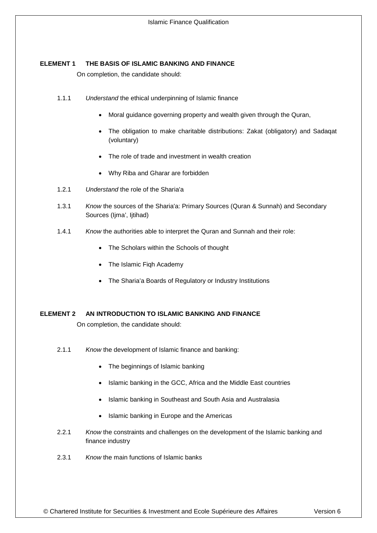#### <span id="page-5-0"></span>**ELEMENT 1 THE BASIS OF ISLAMIC BANKING AND FINANCE**

On completion, the candidate should:

- 1.1.1 *Understand* the ethical underpinning of Islamic finance
	- Moral guidance governing property and wealth given through the Quran,
	- The obligation to make charitable distributions: Zakat (obligatory) and Sadaqat (voluntary)
	- The role of trade and investment in wealth creation
	- Why Riba and Gharar are forbidden
- 1.2.1 *Understand* the role of the Sharia'a
- 1.3.1 *Know* the sources of the Sharia'a: Primary Sources (Quran & Sunnah) and Secondary Sources (Ijma', Ijtihad)
- 1.4.1 *Know* the authorities able to interpret the Quran and Sunnah and their role:
	- The Scholars within the Schools of thought
	- The Islamic Fiqh Academy
	- The Sharia'a Boards of Regulatory or Industry Institutions

#### <span id="page-5-1"></span>**ELEMENT 2 AN INTRODUCTION TO ISLAMIC BANKING AND FINANCE**

- 2.1.1 *Know* the development of Islamic finance and banking:
	- The beginnings of Islamic banking
	- Islamic banking in the GCC, Africa and the Middle East countries
	- Islamic banking in Southeast and South Asia and Australasia
	- Islamic banking in Europe and the Americas
- 2.2.1 *Know* the constraints and challenges on the development of the Islamic banking and finance industry
- 2.3.1 *Know* the main functions of Islamic banks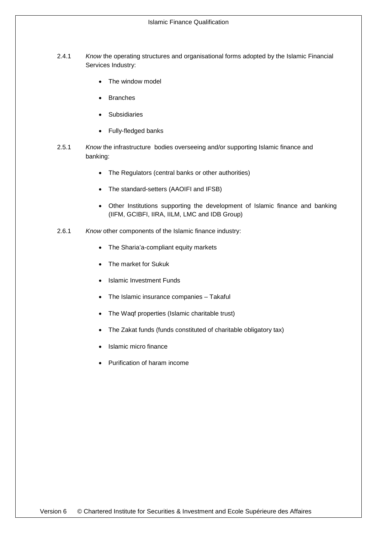- 2.4.1 *Know* the operating structures and organisational forms adopted by the Islamic Financial Services Industry:
	- The window model
	- **Branches**
	- **Subsidiaries**
	- Fully-fledged banks
- 2.5.1 *Know* the infrastructure bodies overseeing and/or supporting Islamic finance and banking:
	- The Regulators (central banks or other authorities)
	- The standard-setters (AAOIFI and IFSB)
	- Other Institutions supporting the development of Islamic finance and banking (IIFM, GCIBFI, IIRA, IILM, LMC and IDB Group)
- 2.6.1 *Know* other components of the Islamic finance industry:
	- The Sharia'a-compliant equity markets
	- The market for Sukuk
	- Islamic Investment Funds
	- The Islamic insurance companies Takaful
	- The Waqf properties (Islamic charitable trust)
	- The Zakat funds (funds constituted of charitable obligatory tax)
	- Islamic micro finance
	- Purification of haram income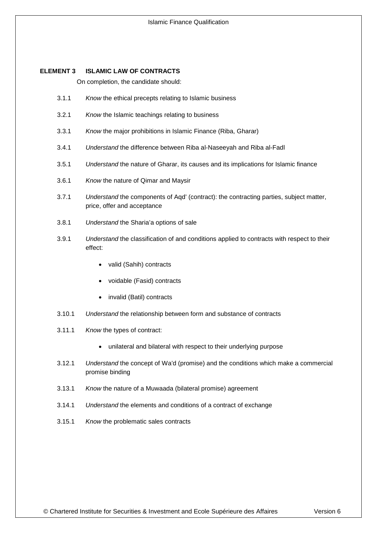#### <span id="page-7-0"></span>**ELEMENT 3 ISLAMIC LAW OF CONTRACTS**

- 3.1.1 *Know* the ethical precepts relating to Islamic business
- 3.2.1 *Know* the Islamic teachings relating to business
- 3.3.1 *Know* the major prohibitions in Islamic Finance (Riba, Gharar)
- 3.4.1 *Understand* the difference between Riba al-Naseeyah and Riba al-Fadl
- 3.5.1 *Understand* the nature of Gharar, its causes and its implications for Islamic finance
- 3.6.1 *Know* the nature of Qimar and Maysir
- 3.7.1 *Understand* the components of Aqd' (contract): the contracting parties, subject matter, price, offer and acceptance
- 3.8.1 *Understand* the Sharia'a options of sale
- 3.9.1 *Understand* the classification of and conditions applied to contracts with respect to their effect:
	- valid (Sahih) contracts
	- voidable (Fasid) contracts
	- invalid (Batil) contracts
- 3.10.1 *Understand* the relationship between form and substance of contracts
- 3.11.1 *Know* the types of contract:
	- unilateral and bilateral with respect to their underlying purpose
- 3.12.1 *Understand* the concept of Wa'd (promise) and the conditions which make a commercial promise binding
- 3.13.1 *Know* the nature of a Muwaada (bilateral promise) agreement
- 3.14.1 *Understand* the elements and conditions of a contract of exchange
- 3.15.1 *Know* the problematic sales contracts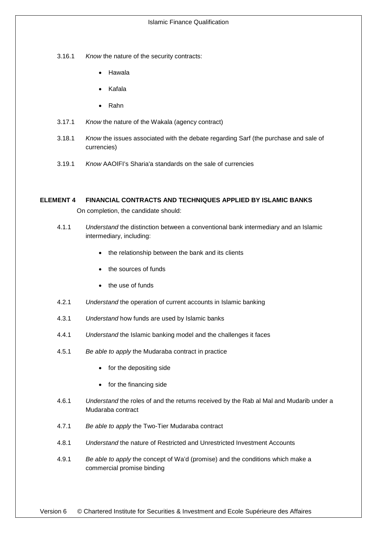3.16.1 *Know* the nature of the security contracts:

- Hawala
- Kafala
- Rahn
- 3.17.1 *Know* the nature of the Wakala (agency contract)
- 3.18.1 *Know* the issues associated with the debate regarding Sarf (the purchase and sale of currencies)
- 3.19.1 *Know* AAOIFI's Sharia'a standards on the sale of currencies

#### <span id="page-8-0"></span>**ELEMENT 4 FINANCIAL CONTRACTS AND TECHNIQUES APPLIED BY ISLAMIC BANKS**

- 4.1.1 *Understand* the distinction between a conventional bank intermediary and an Islamic intermediary, including:
	- the relationship between the bank and its clients
	- the sources of funds
	- the use of funds
- 4.2.1 *Understand* the operation of current accounts in Islamic banking
- 4.3.1 *Understand* how funds are used by Islamic banks
- 4.4.1 *Understand* the Islamic banking model and the challenges it faces
- 4.5.1 *Be able to apply* the Mudaraba contract in practice
	- for the depositing side
	- for the financing side
- 4.6.1 *Understand* the roles of and the returns received by the Rab al Mal and Mudarib under a Mudaraba contract
- 4.7.1 *Be able to apply* the Two-Tier Mudaraba contract
- 4.8.1 *Understand* the nature of Restricted and Unrestricted Investment Accounts
- 4.9.1 *Be able to apply* the concept of Wa'd (promise) and the conditions which make a commercial promise binding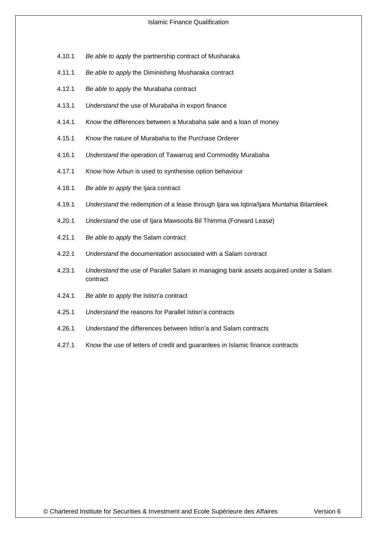- 4.10.1 *Be able to apply* the partnership contract of Musharaka
- 4.11.1 *Be able to apply* the Diminishing Musharaka contract
- 4.12.1 *Be able to apply* the Murabaha contract
- 4.13.1 *Understand* the use of Murabaha in export finance
- 4.14.1 *Know* the differences between a Murabaha sale and a loan of money
- 4.15.1 *Know* the nature of Murabaha to the Purchase Orderer
- 4.16.1 *Understand* the operation of Tawarruq and Commodity Murabaha
- 4.17.1 *Know* how Arbun is used to synthesise option behaviour
- 4.18.1 *Be able to apply* the Ijara contract
- 4.19.1 *Understand* the redemption of a lease through Ijara wa Iqtina/Ijara Muntahia Bitamleek
- 4.20.1 *Understand* the use of Ijara Mawsoofa Bil Thimma (Forward Lease)
- 4.21.1 *Be able to apply* the Salam contract
- 4.22.1 *Understand* the documentation associated with a Salam contract
- 4.23.1 *Understand* the use of Parallel Salam in managing bank assets acquired under a Salam contract
- 4.24.1 *Be able to apply* the Istisn'a contract
- 4.25.1 *Understand* the reasons for Parallel Istisn'a contracts
- 4.26.1 *Understand* the differences between Istisn'a and Salam contracts
- <span id="page-9-0"></span>4.27.1 *Know* the use of letters of credit and guarantees in Islamic finance contracts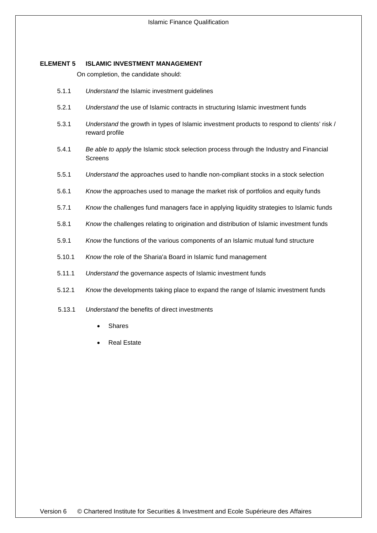#### **ELEMENT 5 ISLAMIC INVESTMENT MANAGEMENT**

- 5.1.1 *Understand* the Islamic investment guidelines
- 5.2.1 *Understand* the use of Islamic contracts in structuring Islamic investment funds
- 5.3.1 *Understand* the growth in types of Islamic investment products to respond to clients' risk / reward profile
- 5.4.1 *Be able to apply* the Islamic stock selection process through the Industry and Financial **Screens**
- 5.5.1 *Understand* the approaches used to handle non-compliant stocks in a stock selection
- 5.6.1 *Know* the approaches used to manage the market risk of portfolios and equity funds
- 5.7.1 *Know* the challenges fund managers face in applying liquidity strategies to Islamic funds
- 5.8.1 *Know* the challenges relating to origination and distribution of Islamic investment funds
- 5.9.1 *Know* the functions of the various components of an Islamic mutual fund structure
- 5.10.1 *Know* the role of the Sharia'a Board in Islamic fund management
- 5.11.1 *Understand* the governance aspects of Islamic investment funds
- 5.12.1 *Know* the developments taking place to expand the range of Islamic investment funds
- <span id="page-10-0"></span>5.13.1 *Understand* the benefits of direct investments
	- Shares
	- **Real Estate**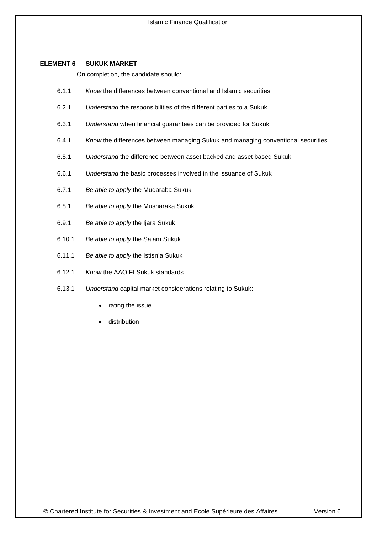#### **ELEMENT 6 SUKUK MARKET**

- 6.1.1 *Know* the differences between conventional and Islamic securities
- 6.2.1 *Understand* the responsibilities of the different parties to a Sukuk
- 6.3.1 *Understand* when financial guarantees can be provided for Sukuk
- 6.4.1 *Know* the differences between managing Sukuk and managing conventional securities
- 6.5.1 *Understand* the difference between asset backed and asset based Sukuk
- 6.6.1 *Understand* the basic processes involved in the issuance of Sukuk
- 6.7.1 *Be able to apply* the Mudaraba Sukuk
- 6.8.1 *Be able to apply* the Musharaka Sukuk
- 6.9.1 *Be able to apply* the Ijara Sukuk
- 6.10.1 *Be able to apply* the Salam Sukuk
- 6.11.1 *Be able to apply* the Istisn'a Sukuk
- 6.12.1 *Know* the AAOIFI Sukuk standards
- 6.13.1 *Understand* capital market considerations relating to Sukuk:
	- rating the issue
	- distribution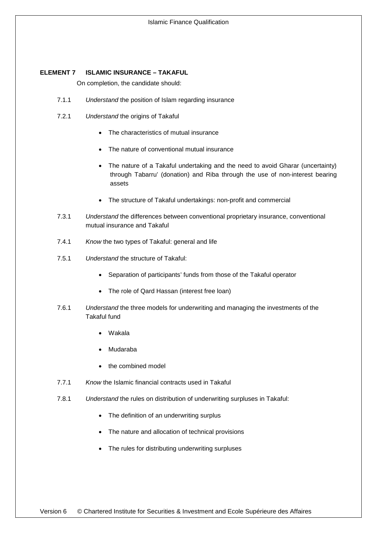#### <span id="page-12-0"></span>**ELEMENT 7 ISLAMIC INSURANCE – TAKAFUL**

- 7.1.1 *Understand* the position of Islam regarding insurance
- 7.2.1 *Understand* the origins of Takaful
	- The characteristics of mutual insurance
	- The nature of conventional mutual insurance
	- The nature of a Takaful undertaking and the need to avoid Gharar (uncertainty) through Tabarru' (donation) and Riba through the use of non-interest bearing assets
	- The structure of Takaful undertakings: non-profit and commercial
- 7.3.1 *Understand* the differences between conventional proprietary insurance, conventional mutual insurance and Takaful
- 7.4.1 *Know* the two types of Takaful: general and life
- 7.5.1 *Understand* the structure of Takaful:
	- Separation of participants' funds from those of the Takaful operator
	- The role of Qard Hassan (interest free loan)
- 7.6.1 *Understand* the three models for underwriting and managing the investments of the Takaful fund
	- Wakala
	- Mudaraba
	- the combined model
- 7.7.1 *Know* the Islamic financial contracts used in Takaful
- 7.8.1 *Understand* the rules on distribution of underwriting surpluses in Takaful:
	- The definition of an underwriting surplus
	- The nature and allocation of technical provisions
	- The rules for distributing underwriting surpluses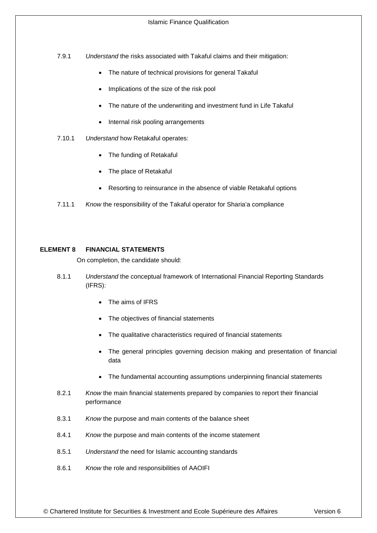- 7.9.1 *Understand* the risks associated with Takaful claims and their mitigation:
	- The nature of technical provisions for general Takaful
	- Implications of the size of the risk pool
	- The nature of the underwriting and investment fund in Life Takaful
	- Internal risk pooling arrangements
- 7.10.1 *Understand* how Retakaful operates:
	- The funding of Retakaful
	- The place of Retakaful
	- Resorting to reinsurance in the absence of viable Retakaful options
- 7.11.1 *Know* the responsibility of the Takaful operator for Sharia'a compliance

#### <span id="page-13-0"></span>**ELEMENT 8 FINANCIAL STATEMENTS**

- 8.1.1 *Understand* the conceptual framework of International Financial Reporting Standards (IFRS):
	- The aims of IFRS
	- The objectives of financial statements
	- The qualitative characteristics required of financial statements
	- The general principles governing decision making and presentation of financial data
	- The fundamental accounting assumptions underpinning financial statements
- 8.2.1 *Know* the main financial statements prepared by companies to report their financial performance
- 8.3.1 *Know* the purpose and main contents of the balance sheet
- 8.4.1 *Know* the purpose and main contents of the income statement
- 8.5.1 *Understand* the need for Islamic accounting standards
- 8.6.1 *Know* the role and responsibilities of AAOIFI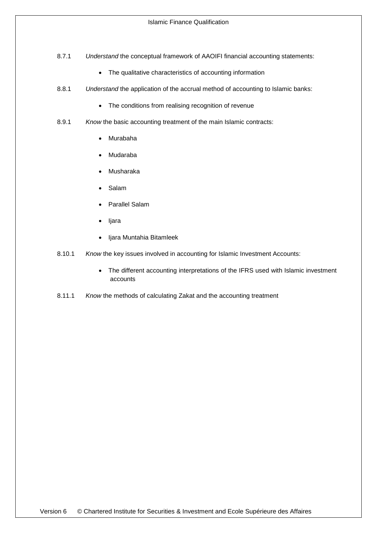- 8.7.1 *Understand* the conceptual framework of AAOIFI financial accounting statements:
	- The qualitative characteristics of accounting information
- 8.8.1 *Understand* the application of the accrual method of accounting to Islamic banks:
	- The conditions from realising recognition of revenue
- 8.9.1 *Know* the basic accounting treatment of the main Islamic contracts:
	- Murabaha
	- Mudaraba
	- Musharaka
	- Salam
	- Parallel Salam
	- Ijara
	- Ijara Muntahia Bitamleek
- 8.10.1 *Know* the key issues involved in accounting for Islamic Investment Accounts:
	- The different accounting interpretations of the IFRS used with Islamic investment accounts
- <span id="page-14-0"></span>8.11.1 *Know* the methods of calculating Zakat and the accounting treatment